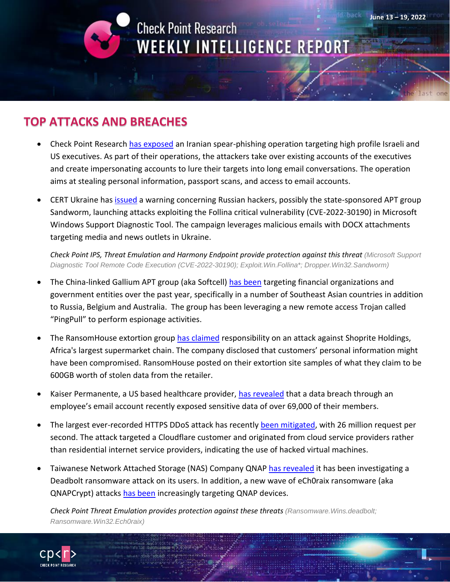

**June 13 – 19, 2022**

## **TOP ATTACKS AND BREACHES**

- Check Point Research [has exposed](https://research.checkpoint.com/2022/check-point-research-exposes-an-iranian-phishing-campaign-targeting-former-israeli-foreign-minister-former-us-ambassador-idf-general-and-defense-industry-executives/) an Iranian spear-phishing operation targeting high profile Israeli and US executives. As part of their operations, the attackers take over existing accounts of the executives and create impersonating accounts to lure their targets into long email conversations. The operation aims at stealing personal information, passport scans, and access to email accounts.
- CERT Ukraine has [issued](https://www.bleepingcomputer.com/news/security/russian-hackers-start-targeting-ukraine-with-follina-exploits/) a warning concerning Russian hackers, possibly the state-sponsored APT group Sandworm, launching attacks exploiting the Follina critical vulnerability (CVE-2022-30190) in Microsoft Windows Support Diagnostic Tool. The campaign leverages malicious emails with DOCX attachments targeting media and news outlets in Ukraine.

*Check Point IPS, Threat Emulation and Harmony Endpoint provide protection against this threat (Microsoft Support Diagnostic Tool Remote Code Execution (CVE-2022-30190); Exploit.Win.Follina\*; Dropper.Win32.Sandworm)*

- The China-linked Gallium APT group (aka Softcell) [has been](https://unit42.paloaltonetworks.com/pingpull-gallium/) targeting financial organizations and government entities over the past year, specifically in a number of Southeast Asian countries in addition to Russia, Belgium and Australia. The group has been leveraging a new remote access Trojan called "PingPull" to perform espionage activities.
- The RansomHouse extortion group [has claimed](https://www.techradar.com/news/africas-biggest-supermarket-hit-by-ransomware-attacks) responsibility on an attack against Shoprite Holdings, Africa's largest supermarket chain. The company disclosed that customers' personal information might have been compromised. RansomHouse posted on their extortion site samples of what they claim to be 600GB worth of stolen data from the retailer.
- Kaiser Permanente, a US based healthcare provider, [has revealed](https://www.bleepingcomputer.com/news/security/kaiser-permanente-data-breach-exposes-health-data-of-69k-people/) that a data breach through an employee's email account recently exposed sensitive data of over 69,000 of their members.
- The largest ever-recorded HTTPS DDoS attack has recently [been mitigated,](https://www.techcentral.ie/cloudflare-mitigates-biggest-ever-https-ddos-attack/) with 26 million request per second. The attack targeted a Cloudflare customer and originated from cloud service providers rather than residential internet service providers, indicating the use of hacked virtual machines.
- Taiwanese Network Attached Storage (NAS) Company QNA[P has revealed](https://therecord.media/qnap-investigating-new-deadbolt-ransomware-campaign/) it has been investigating a Deadbolt ransomware attack on its users. In addition, a new wave of eCh0raix ransomware (aka QNAPCrypt) attacks [has been](https://www.bleepingcomputer.com/news/security/qnap-nas-devices-targeted-by-surge-of-ech0raix-ransomware-attacks/) increasingly targeting QNAP devices.

*Check Point Threat Emulation provides protection against these threats (Ransomware.Wins.deadbolt; Ransomware.Win32.Ech0raix)*